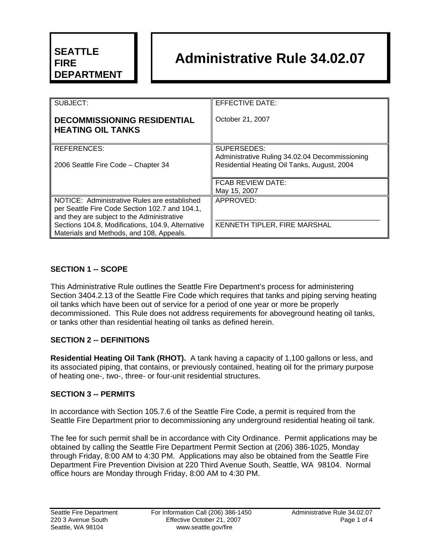## **SEATTLE FIRE DEPARTMENT**

# **Administrative Rule 34.02.07**

| SUBJECT:                                                       | EFFECTIVE DATE:                                |
|----------------------------------------------------------------|------------------------------------------------|
| <b>DECOMMISSIONING RESIDENTIAL</b><br><b>HEATING OIL TANKS</b> | October 21, 2007                               |
| <b>REFERENCES:</b>                                             | SUPERSEDES:                                    |
|                                                                | Administrative Ruling 34.02.04 Decommissioning |
| 2006 Seattle Fire Code - Chapter 34                            | Residential Heating Oil Tanks, August, 2004    |
|                                                                |                                                |
|                                                                | FCAB REVIEW DATE:                              |
|                                                                | May 15, 2007                                   |
| NOTICE: Administrative Rules are established                   | APPROVED:                                      |
| per Seattle Fire Code Section 102.7 and 104.1,                 |                                                |
| and they are subject to the Administrative                     |                                                |
| Sections 104.8, Modifications, 104.9, Alternative              | KENNETH TIPLER, FIRE MARSHAL                   |
| Materials and Methods, and 108, Appeals.                       |                                                |
|                                                                |                                                |

### **SECTION 1 -- SCOPE**

This Administrative Rule outlines the Seattle Fire Department's process for administering Section 3404.2.13 of the Seattle Fire Code which requires that tanks and piping serving heating oil tanks which have been out of service for a period of one year or more be properly decommissioned. This Rule does not address requirements for aboveground heating oil tanks, or tanks other than residential heating oil tanks as defined herein.

### **SECTION 2 -- DEFINITIONS**

**Residential Heating Oil Tank (RHOT).** A tank having a capacity of 1,100 gallons or less, and its associated piping, that contains, or previously contained, heating oil for the primary purpose of heating one-, two-, three- or four-unit residential structures.

### **SECTION 3 -- PERMITS**

In accordance with Section 105.7.6 of the Seattle Fire Code, a permit is required from the Seattle Fire Department prior to decommissioning any underground residential heating oil tank.

The fee for such permit shall be in accordance with City Ordinance. Permit applications may be obtained by calling the Seattle Fire Department Permit Section at (206) 386-1025, Monday through Friday, 8:00 AM to 4:30 PM. Applications may also be obtained from the Seattle Fire Department Fire Prevention Division at 220 Third Avenue South, Seattle, WA 98104. Normal office hours are Monday through Friday, 8:00 AM to 4:30 PM.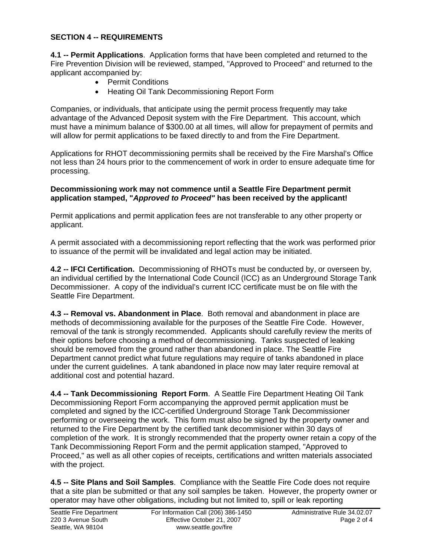#### **SECTION 4 -- REQUIREMENTS**

**4.1 -- Permit Applications**. Application forms that have been completed and returned to the Fire Prevention Division will be reviewed, stamped, "Approved to Proceed" and returned to the applicant accompanied by:

- Permit Conditions
- Heating Oil Tank Decommissioning Report Form

Companies, or individuals, that anticipate using the permit process frequently may take advantage of the Advanced Deposit system with the Fire Department. This account, which must have a minimum balance of \$300.00 at all times, will allow for prepayment of permits and will allow for permit applications to be faxed directly to and from the Fire Department.

Applications for RHOT decommissioning permits shall be received by the Fire Marshal's Office not less than 24 hours prior to the commencement of work in order to ensure adequate time for processing.

#### **Decommissioning work may not commence until a Seattle Fire Department permit application stamped, "***Approved to Proceed"* **has been received by the applicant!**

Permit applications and permit application fees are not transferable to any other property or applicant.

A permit associated with a decommissioning report reflecting that the work was performed prior to issuance of the permit will be invalidated and legal action may be initiated.

**4.2 -- IFCI Certification.** Decommissioning of RHOTs must be conducted by, or overseen by, an individual certified by the International Code Council (ICC) as an Underground Storage Tank Decommissioner. A copy of the individual's current ICC certificate must be on file with the Seattle Fire Department.

**4.3 -- Removal vs. Abandonment in Place**. Both removal and abandonment in place are methods of decommissioning available for the purposes of the Seattle Fire Code. However, removal of the tank is strongly recommended. Applicants should carefully review the merits of their options before choosing a method of decommissioning. Tanks suspected of leaking should be removed from the ground rather than abandoned in place. The Seattle Fire Department cannot predict what future regulations may require of tanks abandoned in place under the current guidelines. A tank abandoned in place now may later require removal at additional cost and potential hazard.

**4.4 -- Tank Decommissioning Report Form**. A Seattle Fire Department Heating Oil Tank Decommissioning Report Form accompanying the approved permit application must be completed and signed by the ICC-certified Underground Storage Tank Decommissioner performing or overseeing the work. This form must also be signed by the property owner and returned to the Fire Department by the certified tank decommisioner within 30 days of completion of the work. It is strongly recommended that the property owner retain a copy of the Tank Decommissioning Report Form and the permit application stamped, "Approved to Proceed," as well as all other copies of receipts, certifications and written materials associated with the project.

**4.5 -- Site Plans and Soil Samples**. Compliance with the Seattle Fire Code does not require that a site plan be submitted or that any soil samples be taken. However, the property owner or operator may have other obligations, including but not limited to, spill or leak reporting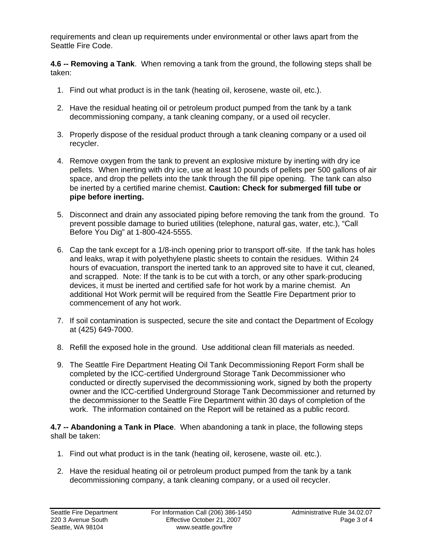requirements and clean up requirements under environmental or other laws apart from the Seattle Fire Code.

**4.6 -- Removing a Tank**. When removing a tank from the ground, the following steps shall be taken:

- 1. Find out what product is in the tank (heating oil, kerosene, waste oil, etc.).
- 2. Have the residual heating oil or petroleum product pumped from the tank by a tank decommissioning company, a tank cleaning company, or a used oil recycler.
- 3. Properly dispose of the residual product through a tank cleaning company or a used oil recycler.
- 4. Remove oxygen from the tank to prevent an explosive mixture by inerting with dry ice pellets. When inerting with dry ice, use at least 10 pounds of pellets per 500 gallons of air space, and drop the pellets into the tank through the fill pipe opening. The tank can also be inerted by a certified marine chemist. **Caution: Check for submerged fill tube or pipe before inerting.**
- 5. Disconnect and drain any associated piping before removing the tank from the ground. To prevent possible damage to buried utilities (telephone, natural gas, water, etc.), "Call Before You Dig" at 1-800-424-5555.
- 6. Cap the tank except for a 1/8-inch opening prior to transport off-site. If the tank has holes and leaks, wrap it with polyethylene plastic sheets to contain the residues. Within 24 hours of evacuation, transport the inerted tank to an approved site to have it cut, cleaned, and scrapped. Note: If the tank is to be cut with a torch, or any other spark-producing devices, it must be inerted and certified safe for hot work by a marine chemist. An additional Hot Work permit will be required from the Seattle Fire Department prior to commencement of any hot work.
- 7. If soil contamination is suspected, secure the site and contact the Department of Ecology at (425) 649-7000.
- 8. Refill the exposed hole in the ground. Use additional clean fill materials as needed.
- 9. The Seattle Fire Department Heating Oil Tank Decommissioning Report Form shall be completed by the ICC-certified Underground Storage Tank Decommissioner who conducted or directly supervised the decommissioning work, signed by both the property owner and the ICC-certified Underground Storage Tank Decommissioner and returned by the decommissioner to the Seattle Fire Department within 30 days of completion of the work. The information contained on the Report will be retained as a public record.

**4.7 -- Abandoning a Tank in Place**. When abandoning a tank in place, the following steps shall be taken:

- 1. Find out what product is in the tank (heating oil, kerosene, waste oil. etc.).
- 2. Have the residual heating oil or petroleum product pumped from the tank by a tank decommissioning company, a tank cleaning company, or a used oil recycler.